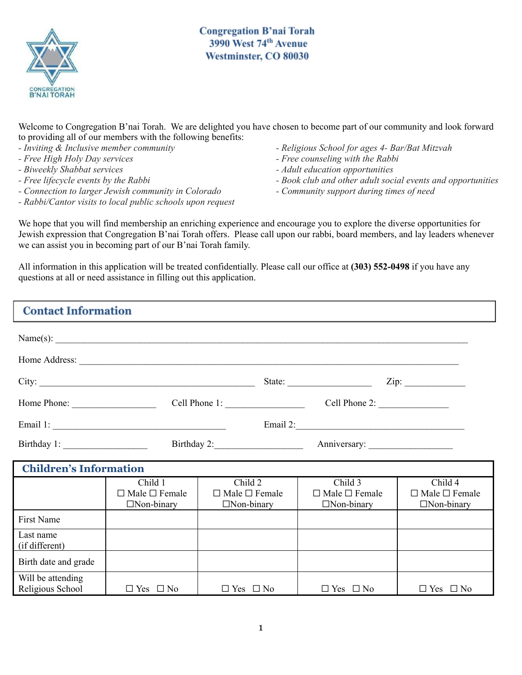

**Congregation B'nai Torah** 3990 West 74th Avenue Westminster, CO 80030

Welcome to Congregation B'nai Torah. We are delighted you have chosen to become part of our community and look forward to providing all of our members with the following benefits:

- *- Inviting & Inclusive member community*
- *- Free High Holy Day services*
- *- Biweekly Shabbat services*
- *- Free lifecycle events by the Rabbi*
- *- Connection to larger Jewish community in Colorado*
- *- Rabbi/Cantor visits to local public schools upon request*
- *- Religious School for ages 4- Bar/Bat Mitzvah*
- *- Free counseling with the Rabbi*
- *- Adult education opportunities*
- *- Book club and other adult social events and opportunities*
- *- Community support during times of need*

We hope that you will find membership an enriching experience and encourage you to explore the diverse opportunities for Jewish expression that Congregation B'nai Torah offers. Please call upon our rabbi, board members, and lay leaders whenever we can assist you in becoming part of our B'nai Torah family.

All information in this application will be treated confidentially. Please call our office at **(303) 552-0498** if you have any questions at all or need assistance in filling out this application.

| <b>Contact Information</b>            |                                                           |                                                           |                                                           |                                                           |
|---------------------------------------|-----------------------------------------------------------|-----------------------------------------------------------|-----------------------------------------------------------|-----------------------------------------------------------|
|                                       |                                                           | Name(s): $\qquad \qquad$                                  |                                                           |                                                           |
|                                       |                                                           |                                                           |                                                           |                                                           |
|                                       | City:                                                     |                                                           |                                                           |                                                           |
| Home Phone:                           |                                                           | Cell Phone 1:                                             | Cell Phone 2: $\frac{2}{\sqrt{2}}$                        |                                                           |
|                                       |                                                           |                                                           |                                                           |                                                           |
| Birthday 1:                           |                                                           | Birthday 2:                                               |                                                           |                                                           |
| <b>Children's Information</b>         |                                                           |                                                           |                                                           |                                                           |
|                                       | Child 1<br>$\Box$ Male $\Box$ Female<br>$\Box$ Non-binary | Child 2<br>$\Box$ Male $\Box$ Female<br>$\Box$ Non-binary | Child 3<br>$\Box$ Male $\Box$ Female<br>$\Box$ Non-binary | Child 4<br>$\Box$ Male $\Box$ Female<br>$\Box$ Non-binary |
| First Name                            |                                                           |                                                           |                                                           |                                                           |
| Last name<br>(if different)           |                                                           |                                                           |                                                           |                                                           |
| Birth date and grade                  |                                                           |                                                           |                                                           |                                                           |
| Will be attending<br>Religious School | $\Box$ Yes $\Box$ No                                      | $\Box$ Yes $\Box$ No                                      | $\Box$ Yes $\Box$ No                                      | $\Box$ Yes $\Box$ No                                      |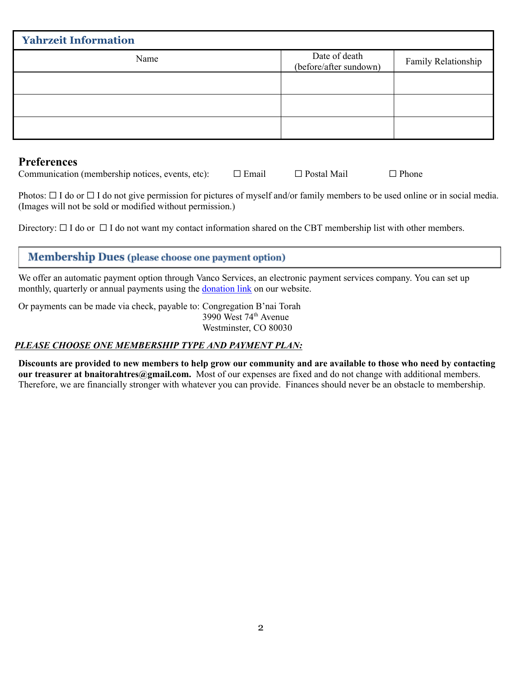| <b>Yahrzeit Information</b> |                                         |                     |  |
|-----------------------------|-----------------------------------------|---------------------|--|
| Name                        | Date of death<br>(before/after sundown) | Family Relationship |  |
|                             |                                         |                     |  |
|                             |                                         |                     |  |
|                             |                                         |                     |  |

### **Preferences**

| Communication (membership notices, events, etc): |  | $\square$ Email | $\Box$ Postal Mail | $\Box$ Phone |
|--------------------------------------------------|--|-----------------|--------------------|--------------|
|                                                  |  |                 |                    |              |

Photos:  $\Box$  I do or  $\Box$  I do not give permission for pictures of myself and/or family members to be used online or in social media. (Images will not be sold or modified without permission.)

Directory:  $\Box$  I do or  $\Box$  I do not want my contact information shared on the CBT membership list with other members.

# **Membership Dues** (please choose one payment option)

We offer an automatic payment option through Vanco Services, an electronic payment services company. You can set up monthly, quarterly or annual payments using the **[donation](https://www.eservicepayments.com/cgi-bin/Vanco_ver3.vps?appver3=Fi1giPL8kwX_Oe1AO50jRjAq_awHiFQeP7OE24F2tOahjXsUKRLlmI4vCU4-rZZZ2EvVVAEjqawDomKT1pbouUP-d15MspqFlQS5_2QlQE4=&ver=3) link** on our website.

Or payments can be made via check, payable to: Congregation B'nai Torah 3990 West 74 th Avenue Westminster, CO 80030

### *PLEASE CHOOSE ONE MEMBERSHIP TYPE AND PAYMENT PLAN:*

Discounts are provided to new members to help grow our community and are available to those who need by contacting **our treasurer at bnaitorahtres@gmail.com.** Most of our expenses are fixed and do not change with additional members. Therefore, we are financially stronger with whatever you can provide. Finances should never be an obstacle to membership.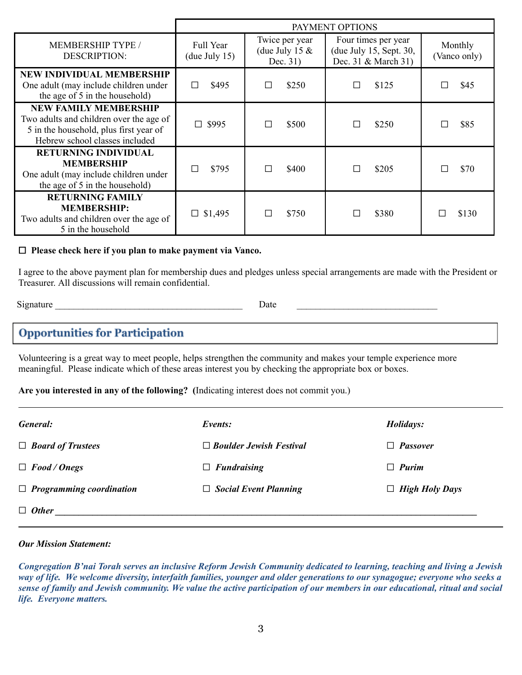|                                                                                                                                                     |                                   |                                                  | PAYMENT OPTIONS                                                       |                         |
|-----------------------------------------------------------------------------------------------------------------------------------------------------|-----------------------------------|--------------------------------------------------|-----------------------------------------------------------------------|-------------------------|
| <b>MEMBERSHIP TYPE /</b><br><b>DESCRIPTION:</b>                                                                                                     | <b>Full Year</b><br>(due July 15) | Twice per year<br>(due July 15 $&$<br>Dec. $31)$ | Four times per year<br>(due July 15, Sept. 30,<br>Dec. 31 & March 31) | Monthly<br>(Vanco only) |
| <b>NEW INDIVIDUAL MEMBERSHIP</b><br>One adult (may include children under<br>the age of 5 in the household)                                         | \$495<br>П                        | \$250<br>П                                       | \$125                                                                 | \$45                    |
| <b>NEW FAMILY MEMBERSHIP</b><br>Two adults and children over the age of<br>5 in the household, plus first year of<br>Hebrew school classes included | \$995                             | \$500<br>Г                                       | \$250                                                                 | \$85<br>П               |
| <b>RETURNING INDIVIDUAL</b><br><b>MEMBERSHIP</b><br>One adult (may include children under<br>the age of 5 in the household)                         | \$795                             | \$400<br>П                                       | \$205                                                                 | \$70<br>П               |
| <b>RETURNING FAMILY</b><br><b>MEMBERSHIP:</b><br>Two adults and children over the age of<br>5 in the household                                      | $\Box$ \$1,495                    | \$750<br>П                                       | \$380                                                                 | \$130<br>П              |

#### ☐ **Please check here if you plan to make payment via Vanco.**

I agree to the above payment plan for membership dues and pledges unless special arrangements are made with the President or Treasurer. All discussions will remain confidential.

Signature **Date**  $\Box$ 

## **Opportunities for Participation**

Volunteering is a great way to meet people, helps strengthen the community and makes your temple experience more meaningful. Please indicate which of these areas interest you by checking the appropriate box or boxes.

#### **Are you interested in any of the following? (**Indicating interest does not commit you.)

| General:                        | Events:                        | Holidays:             |
|---------------------------------|--------------------------------|-----------------------|
| $\Box$ Board of Trustees        | $\Box$ Boulder Jewish Festival | $\Box$ Passover       |
| $\Box$ Food / Onegs             | $\Box$ Fundraising             | $\Box$ Purim          |
| $\Box$ Programming coordination | $\Box$ Social Event Planning   | $\Box$ High Holy Days |
| $\Box$ Other                    |                                |                       |

#### *Our Mission Statement:*

Congregation B'nai Torah serves an inclusive Reform Jewish Community dedicated to learning, teaching and living a Jewish way of life. We welcome diversity, interfaith families, younger and older generations to our synagogue; everyone who seeks a sense of family and Jewish community. We value the active participation of our members in our educational, ritual and social *life. Everyone matters.*